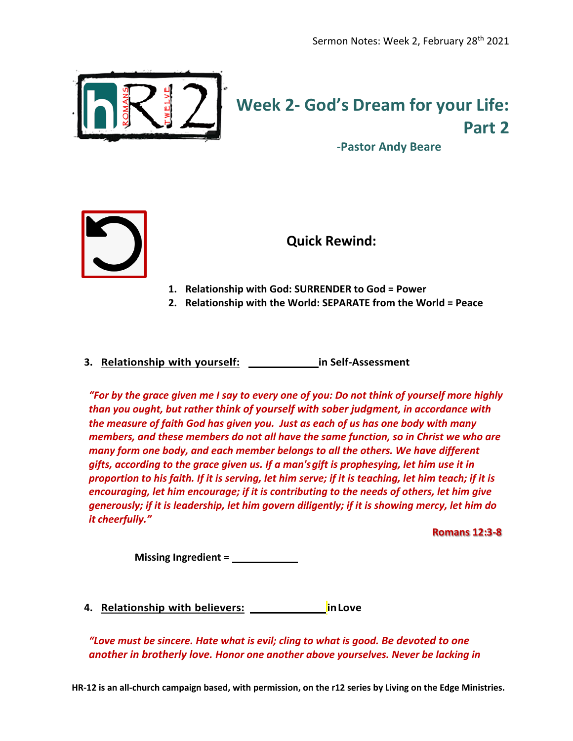

## **Week 2- God's Dream for your Life: Part 2**

**-Pastor Andy Beare**



**Quick Rewind:**

- **1. Relationship with God: SURRENDER to God = Power**
- **2. Relationship with the World: SEPARATE from the World = Peace**
- **3.** Relationship with yourself: \_\_\_\_\_\_\_\_\_\_\_\_\_\_\_\_\_\_ in Self-Assessment

*"For by the grace given me I say to every one of you: Do not think of yourself more highly than you ought, but rather think of yourself with sober judgment, in accordance with the measure of faith God has given you. Just as each of us has one body with many members, and these members do not all have the same function, so in Christ we who are many form one body, and each member belongs to all the others. We have different gifts, according to the grace given us. If a man'sgift is prophesying, let him use it in proportion to his faith. If it is serving, let him serve; if it is teaching, let him teach; if it is encouraging, let him encourage; if it is contributing to the needs of others, let him give generously; if it is leadership, let him govern diligently; if it is showing mercy, let him do it cheerfully."*

**Romans 12:3-8**

**Missing Ingredient = Purpo\_\_\_\_\_se**

**4.** Relationship with believers: SERCON RESOCITION INCOVER

*"Love must be sincere. Hate what is evil; cling to what is good. Be devoted to one another in brotherly love. Honor one another above yourselves. Never be lacking in* 

**HR-12 is an all-church campaign based, with permission, on the r12 series by Living on the Edge Ministries.**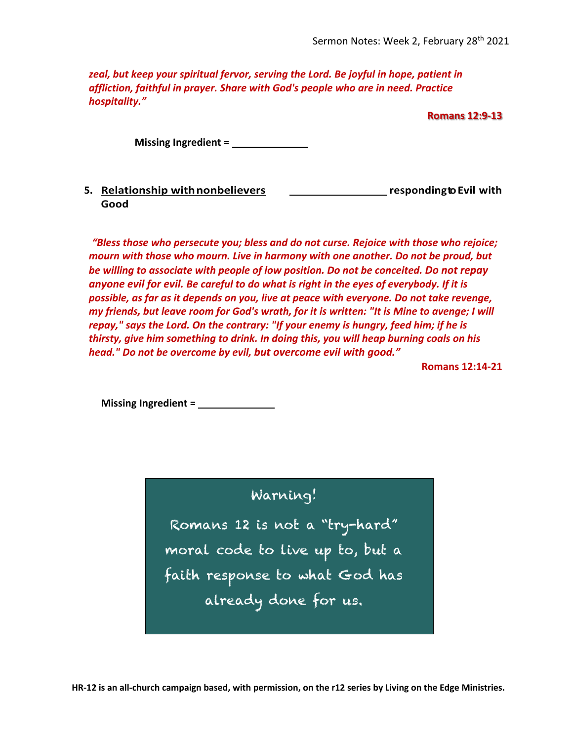*zeal, but keep your spiritual fervor, serving the Lord. Be joyful in hope, patient in affliction, faithful in prayer. Share with God's people who are in need. Practice hospitality."*

**Romans 12:9-13**

**Missing Ingredient =** 

## **5.** Relationship with nonbelievers **SUPERNATURAL EXAMPLE 10 YO EXAMPLE 10 YO EVIL WITH Good**

*"Bless those who persecute you; bless and do not curse. Rejoice with those who rejoice; mourn with those who mourn. Live in harmony with one another. Do not be proud, but be willing to associate with people of low position. Do not be conceited. Do not repay anyone evil for evil. Be careful to do what is right in the eyes of everybody. If it is possible, as far as it depends on you, live at peace with everyone. Do not take revenge, my friends, but leave room for God's wrath, for it is written: "It is Mine to avenge; I will repay," says the Lord. On the contrary: "If your enemy is hungry, feed him; if he is thirsty, give him something to drink. In doing this, you will heap burning coals on his head." Do not be overcome by evil, but overcome evil with good."*

**Romans 12:14-21**

**Missing Ingredient = Perspecti\_\_\_\_ve**

Warning!

Romans 12 is not a "try-hard" moral code to live up to, but a faith response to what God has already done for us.